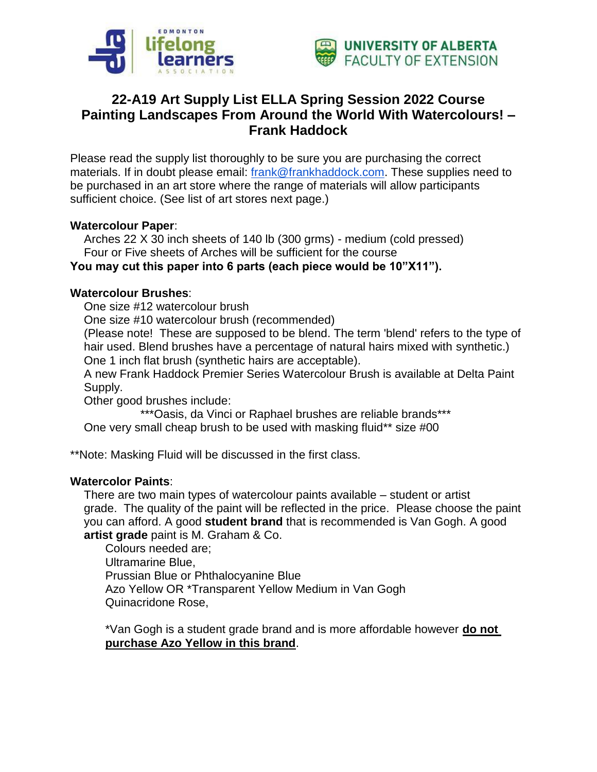



# **22-A19 Art Supply List ELLA Spring Session 2022 Course Painting Landscapes From Around the World With Watercolours! – Frank Haddock**

Please read the supply list thoroughly to be sure you are purchasing the correct materials. If in doubt please email: [frank@frankhaddock.com.](mailto:frank@frankhaddock.com) These supplies need to be purchased in an art store where the range of materials will allow participants sufficient choice. (See list of art stores next page.)

#### **Watercolour Paper**:

Arches 22 X 30 inch sheets of 140 lb (300 grms) - medium (cold pressed) Four or Five sheets of Arches will be sufficient for the course

### **You may cut this paper into 6 parts (each piece would be 10"X11").**

#### **Watercolour Brushes**:

One size #12 watercolour brush

One size #10 watercolour brush (recommended)

(Please note! These are supposed to be blend. The term 'blend' refers to the type of hair used. Blend brushes have a percentage of natural hairs mixed with synthetic.) One 1 inch flat brush (synthetic hairs are acceptable).

A new Frank Haddock Premier Series Watercolour Brush is available at Delta Paint Supply.

Other good brushes include:

\*\*\*Oasis, da Vinci or Raphael brushes are reliable brands\*\*\*

One very small cheap brush to be used with masking fluid\*\* size #00

\*\*Note: Masking Fluid will be discussed in the first class.

#### **Watercolor Paints**:

There are two main types of watercolour paints available – student or artist grade. The quality of the paint will be reflected in the price. Please choose the paint you can afford. A good **student brand** that is recommended is Van Gogh. A good **artist grade** paint is M. Graham & Co.

Colours needed are; Ultramarine Blue, Prussian Blue or Phthalocyanine Blue Azo Yellow OR \*Transparent Yellow Medium in Van Gogh Quinacridone Rose,

\*Van Gogh is a student grade brand and is more affordable however **do not purchase Azo Yellow in this brand**.